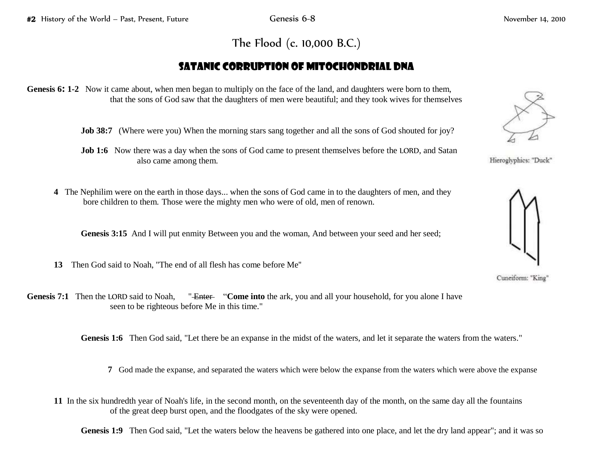## The Flood (c. 10,000 B.C.)

## Satanic Corruption of Mitochondrial DNA

## **Genesis 6: 1-2** Now it came about, when men began to multiply on the face of the land, and daughters were born to them, that the sons of God saw that the daughters of men were beautiful; and they took wives for themselves

**Job 38:7** (Where were you) When the morning stars sang together and all the sons of God shouted for joy?

**Job 1:6** Now there was a day when the sons of God came to present themselves before the LORD, and Satan also came among them.

**4** The Nephilim were on the earth in those days... when the sons of God came in to the daughters of men, and they bore children to them. Those were the mighty men who were of old, men of renown.

Genesis 3:15 And I will put enmity Between you and the woman, And between your seed and her seed;

- **13** Then God said to Noah, "The end of all flesh has come before Me''
- **Genesis 7:1** Then the LORD said to Noah, "<del>Enter</del> "Come into the ark, you and all your household, for you alone I have seen to be righteous before Me in this time."

**Genesis 1:6** Then God said, "Let there be an expanse in the midst of the waters, and let it separate the waters from the waters."

- **7** God made the expanse, and separated the waters which were below the expanse from the waters which were above the expanse
- **11** In the six hundredth year of Noah's life, in the second month, on the seventeenth day of the month, on the same day all the fountains of the great deep burst open, and the floodgates of the sky were opened.

**Genesis 1:9** Then God said, "Let the waters below the heavens be gathered into one place, and let the dry land appear"; and it was so



Hieroglyphics: "Duck"



Cuneiform: "King"